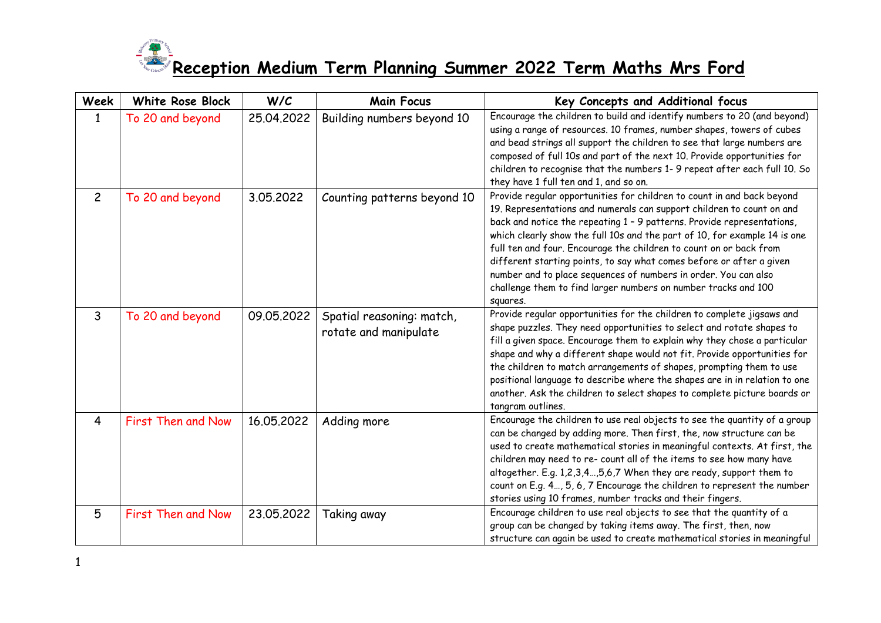

| <b>Week</b>    | <b>White Rose Block</b> | W/C        | <b>Main Focus</b>                                  | Key Concepts and Additional focus                                                                                                                                                                                                                                                                                                                                                                                                                                                                                                                                                                     |
|----------------|-------------------------|------------|----------------------------------------------------|-------------------------------------------------------------------------------------------------------------------------------------------------------------------------------------------------------------------------------------------------------------------------------------------------------------------------------------------------------------------------------------------------------------------------------------------------------------------------------------------------------------------------------------------------------------------------------------------------------|
| $\mathbf{1}$   | To 20 and beyond        | 25.04.2022 | Building numbers beyond 10                         | Encourage the children to build and identify numbers to 20 (and beyond)<br>using a range of resources. 10 frames, number shapes, towers of cubes<br>and bead strings all support the children to see that large numbers are<br>composed of full 10s and part of the next 10. Provide opportunities for<br>children to recognise that the numbers 1-9 repeat after each full 10. So<br>they have 1 full ten and 1, and so on.                                                                                                                                                                          |
| $\overline{2}$ | To 20 and beyond        | 3.05.2022  | Counting patterns beyond 10                        | Provide regular opportunities for children to count in and back beyond<br>19. Representations and numerals can support children to count on and<br>back and notice the repeating 1 - 9 patterns. Provide representations,<br>which clearly show the full 10s and the part of 10, for example 14 is one<br>full ten and four. Encourage the children to count on or back from<br>different starting points, to say what comes before or after a given<br>number and to place sequences of numbers in order. You can also<br>challenge them to find larger numbers on number tracks and 100<br>squares. |
| $\mathbf{3}$   | To 20 and beyond        | 09.05.2022 | Spatial reasoning: match,<br>rotate and manipulate | Provide regular opportunities for the children to complete jigsaws and<br>shape puzzles. They need opportunities to select and rotate shapes to<br>fill a given space. Encourage them to explain why they chose a particular<br>shape and why a different shape would not fit. Provide opportunities for<br>the children to match arrangements of shapes, prompting them to use<br>positional language to describe where the shapes are in in relation to one<br>another. Ask the children to select shapes to complete picture boards or<br>tangram outlines.                                        |
| $\overline{4}$ | First Then and Now      | 16.05.2022 | Adding more                                        | Encourage the children to use real objects to see the quantity of a group<br>can be changed by adding more. Then first, the, now structure can be<br>used to create mathematical stories in meaningful contexts. At first, the<br>children may need to re- count all of the items to see how many have<br>altogether. E.g. 1,2,3,4,5,6,7 When they are ready, support them to<br>count on E.g. 4, 5, 6, 7 Encourage the children to represent the number<br>stories using 10 frames, number tracks and their fingers.                                                                                 |
| 5              | First Then and Now      | 23.05.2022 | Taking away                                        | Encourage children to use real objects to see that the quantity of a<br>group can be changed by taking items away. The first, then, now<br>structure can again be used to create mathematical stories in meaningful                                                                                                                                                                                                                                                                                                                                                                                   |

1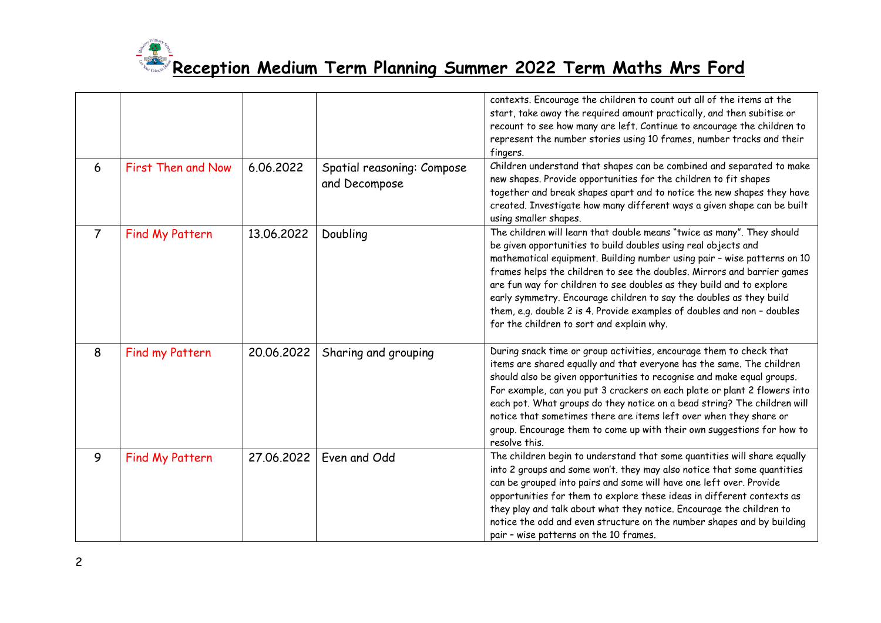

|                |                    |            |                                             | contexts. Encourage the children to count out all of the items at the<br>start, take away the required amount practically, and then subitise or<br>recount to see how many are left. Continue to encourage the children to<br>represent the number stories using 10 frames, number tracks and their<br>fingers.<br>Children understand that shapes can be combined and separated to make                                                                                                                                                                               |
|----------------|--------------------|------------|---------------------------------------------|------------------------------------------------------------------------------------------------------------------------------------------------------------------------------------------------------------------------------------------------------------------------------------------------------------------------------------------------------------------------------------------------------------------------------------------------------------------------------------------------------------------------------------------------------------------------|
| 6              | First Then and Now | 6.06.2022  | Spatial reasoning: Compose<br>and Decompose | new shapes. Provide opportunities for the children to fit shapes<br>together and break shapes apart and to notice the new shapes they have<br>created. Investigate how many different ways a given shape can be built<br>using smaller shapes.                                                                                                                                                                                                                                                                                                                         |
| $\overline{7}$ | Find My Pattern    | 13.06.2022 | Doubling                                    | The children will learn that double means "twice as many". They should<br>be given opportunities to build doubles using real objects and<br>mathematical equipment. Building number using pair - wise patterns on 10<br>frames helps the children to see the doubles. Mirrors and barrier games<br>are fun way for children to see doubles as they build and to explore<br>early symmetry. Encourage children to say the doubles as they build<br>them, e.g. double 2 is 4. Provide examples of doubles and non - doubles<br>for the children to sort and explain why. |
| 8              | Find my Pattern    | 20.06.2022 | Sharing and grouping                        | During snack time or group activities, encourage them to check that<br>items are shared equally and that everyone has the same. The children<br>should also be given opportunities to recognise and make equal groups.<br>For example, can you put 3 crackers on each plate or plant 2 flowers into<br>each pot. What groups do they notice on a bead string? The children will<br>notice that sometimes there are items left over when they share or<br>group. Encourage them to come up with their own suggestions for how to<br>resolve this.                       |
| 9              | Find My Pattern    | 27.06.2022 | Even and Odd                                | The children begin to understand that some quantities will share equally<br>into 2 groups and some won't. they may also notice that some quantities<br>can be grouped into pairs and some will have one left over. Provide<br>opportunities for them to explore these ideas in different contexts as<br>they play and talk about what they notice. Encourage the children to<br>notice the odd and even structure on the number shapes and by building<br>pair - wise patterns on the 10 frames.                                                                       |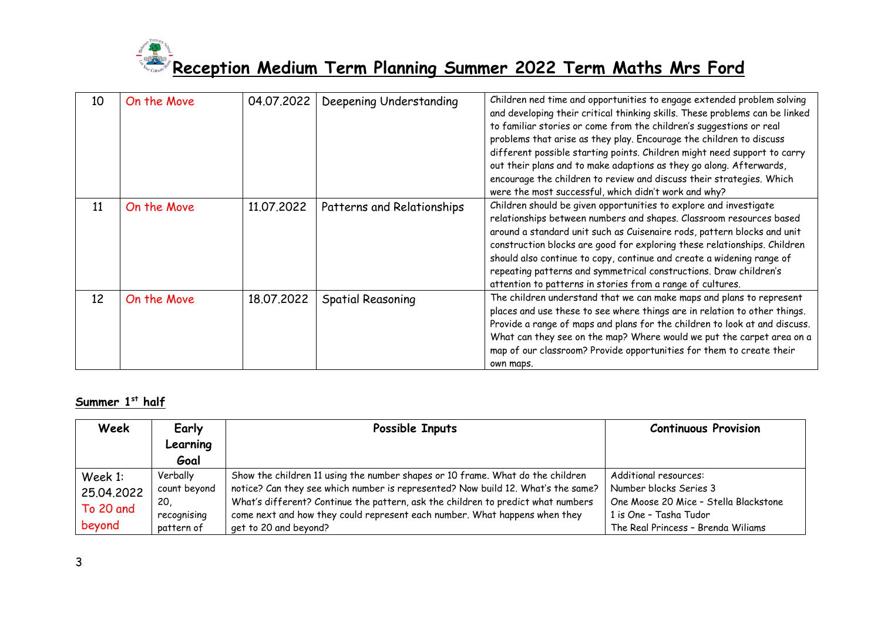

| 10 | On the Move | 04.07.2022 | Deepening Understanding    | Children ned time and opportunities to engage extended problem solving<br>and developing their critical thinking skills. These problems can be linked<br>to familiar stories or come from the children's suggestions or real<br>problems that arise as they play. Encourage the children to discuss<br>different possible starting points. Children might need support to carry<br>out their plans and to make adaptions as they go along. Afterwards,<br>encourage the children to review and discuss their strategies. Which<br>were the most successful, which didn't work and why? |
|----|-------------|------------|----------------------------|----------------------------------------------------------------------------------------------------------------------------------------------------------------------------------------------------------------------------------------------------------------------------------------------------------------------------------------------------------------------------------------------------------------------------------------------------------------------------------------------------------------------------------------------------------------------------------------|
| 11 | On the Move | 11,07,2022 | Patterns and Relationships | Children should be given opportunities to explore and investigate<br>relationships between numbers and shapes. Classroom resources based<br>around a standard unit such as Cuisenaire rods, pattern blocks and unit<br>construction blocks are good for exploring these relationships. Children<br>should also continue to copy, continue and create a widening range of<br>repeating patterns and symmetrical constructions. Draw children's<br>attention to patterns in stories from a range of cultures.                                                                            |
| 12 | On the Move | 18.07.2022 | <b>Spatial Reasoning</b>   | The children understand that we can make maps and plans to represent<br>places and use these to see where things are in relation to other things.<br>Provide a range of maps and plans for the children to look at and discuss.<br>What can they see on the map? Where would we put the carpet area on a<br>map of our classroom? Provide opportunities for them to create their<br>own maps.                                                                                                                                                                                          |

#### **Summer 1st half**

| Week       | Early        | Possible Inputs                                                                  | <b>Continuous Provision</b>           |
|------------|--------------|----------------------------------------------------------------------------------|---------------------------------------|
|            | Learning     |                                                                                  |                                       |
|            | Goal         |                                                                                  |                                       |
| Week 1:    | Verbally     | Show the children 11 using the number shapes or 10 frame. What do the children   | Additional resources:                 |
| 25.04.2022 | count beyond | notice? Can they see which number is represented? Now build 12. What's the same? | Number blocks Series 3                |
| To 20 and  | -20          | What's different? Continue the pattern, ask the children to predict what numbers | One Moose 20 Mice - Stella Blackstone |
|            | recognising  | come next and how they could represent each number. What happens when they       | 1 is One - Tasha Tudor                |
| beyond     | pattern of   | get to 20 and beyond?                                                            | The Real Princess - Brenda Wiliams    |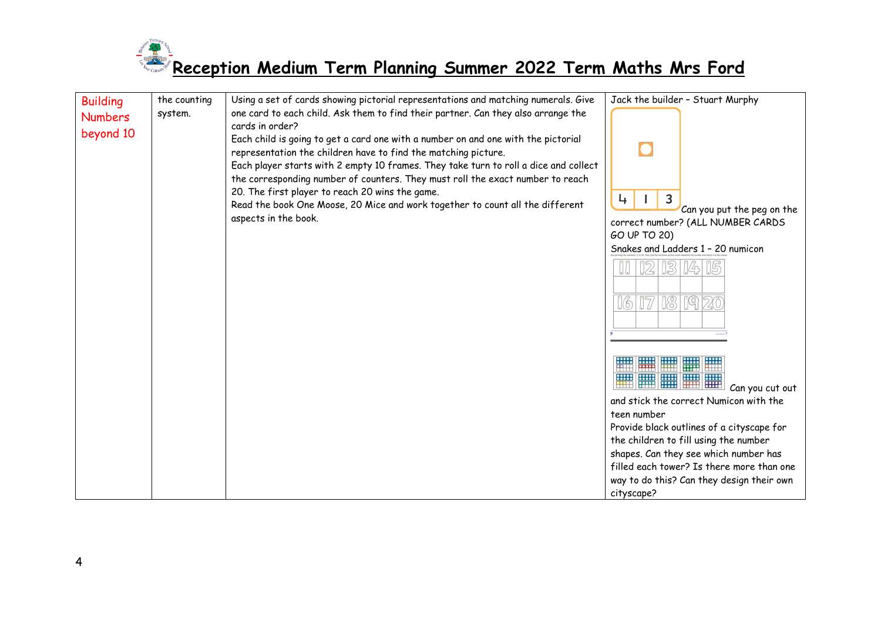

| <b>Building</b> | the counting | Using a set of cards showing pictorial representations and matching numerals. Give                                                                                                                                                                                                                                            | Jack the builder - Stuart Murphy                                                                                                                                                                                                                                                                                                                                       |
|-----------------|--------------|-------------------------------------------------------------------------------------------------------------------------------------------------------------------------------------------------------------------------------------------------------------------------------------------------------------------------------|------------------------------------------------------------------------------------------------------------------------------------------------------------------------------------------------------------------------------------------------------------------------------------------------------------------------------------------------------------------------|
|                 | system.      | one card to each child. Ask them to find their partner. Can they also arrange the                                                                                                                                                                                                                                             |                                                                                                                                                                                                                                                                                                                                                                        |
| <b>Numbers</b>  |              | cards in order?                                                                                                                                                                                                                                                                                                               |                                                                                                                                                                                                                                                                                                                                                                        |
| beyond 10       |              | Each child is going to get a card one with a number on and one with the pictorial<br>representation the children have to find the matching picture.<br>Each player starts with 2 empty 10 frames. They take turn to roll a dice and collect<br>the corresponding number of counters. They must roll the exact number to reach |                                                                                                                                                                                                                                                                                                                                                                        |
|                 |              | 20. The first player to reach 20 wins the game.                                                                                                                                                                                                                                                                               |                                                                                                                                                                                                                                                                                                                                                                        |
|                 |              | Read the book One Moose, 20 Mice and work together to count all the different                                                                                                                                                                                                                                                 | 3<br>4<br>Can you put the peg on the                                                                                                                                                                                                                                                                                                                                   |
|                 |              | aspects in the book.                                                                                                                                                                                                                                                                                                          | correct number? (ALL NUMBER CARDS<br>GO UP TO 20)                                                                                                                                                                                                                                                                                                                      |
|                 |              |                                                                                                                                                                                                                                                                                                                               | Snakes and Ladders 1 - 20 numicon                                                                                                                                                                                                                                                                                                                                      |
|                 |              |                                                                                                                                                                                                                                                                                                                               | 12<br>[ 3     4 <br>IJU.                                                                                                                                                                                                                                                                                                                                               |
|                 |              |                                                                                                                                                                                                                                                                                                                               | $\sqrt{3}$<br>$\overline{C} = \overline{C}$<br><u> 16</u><br>2C                                                                                                                                                                                                                                                                                                        |
|                 |              |                                                                                                                                                                                                                                                                                                                               |                                                                                                                                                                                                                                                                                                                                                                        |
|                 |              |                                                                                                                                                                                                                                                                                                                               | <b>EXAMPLE 1888</b><br><u>mal</u><br><b>EXAMPLE</b><br>Can you cut out<br>and stick the correct Numicon with the<br>teen number<br>Provide black outlines of a cityscape for<br>the children to fill using the number<br>shapes. Can they see which number has<br>filled each tower? Is there more than one<br>way to do this? Can they design their own<br>cityscape? |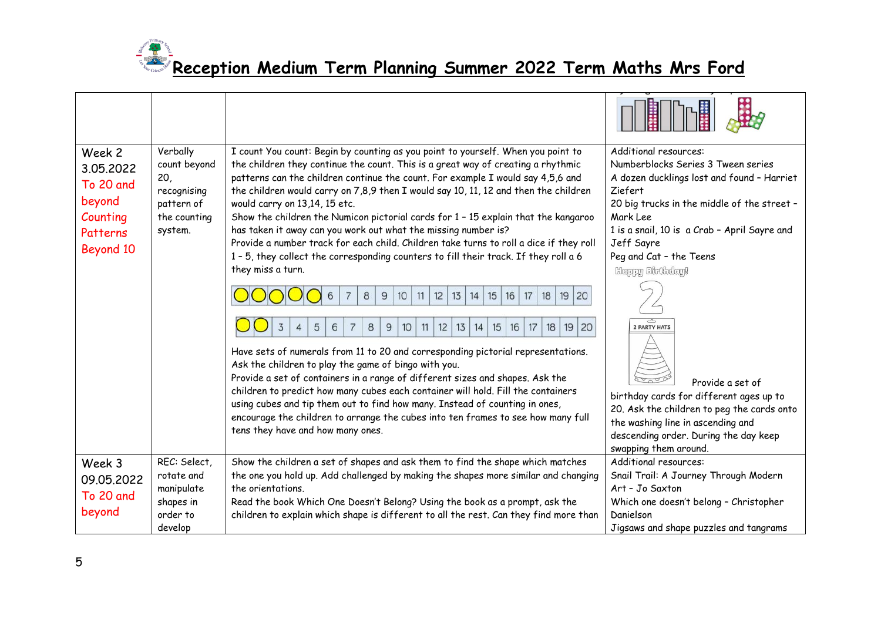

| Week 2<br>3.05.2022<br>To 20 and<br>beyond<br>Counting<br>Patterns<br>Beyond 10 | Verbally<br>count beyond<br>20,<br>recognising<br>pattern of<br>the counting<br>system. | I count You count: Begin by counting as you point to yourself. When you point to<br>the children they continue the count. This is a great way of creating a rhythmic<br>patterns can the children continue the count. For example I would say 4,5,6 and<br>the children would carry on 7,8,9 then I would say 10, 11, 12 and then the children<br>would carry on 13,14, 15 etc.<br>Show the children the Numicon pictorial cards for 1 - 15 explain that the kangaroo<br>has taken it away can you work out what the missing number is?<br>Provide a number track for each child. Children take turns to roll a dice if they roll<br>1 - 5, they collect the corresponding counters to fill their track. If they roll a 6<br>they miss a turn.<br>12<br>13<br>15<br>16<br>17<br>18<br>19<br>20<br>8<br>9<br>10<br>11<br>14<br>3<br>8<br>9<br>15<br>16<br>18<br>19<br>20<br>5<br>6<br>10<br>11<br>12<br>13<br>17<br>$\overline{4}$<br>14<br>Have sets of numerals from 11 to 20 and corresponding pictorial representations.<br>Ask the children to play the game of bingo with you.<br>Provide a set of containers in a range of different sizes and shapes. Ask the<br>children to predict how many cubes each container will hold. Fill the containers<br>using cubes and tip them out to find how many. Instead of counting in ones,<br>encourage the children to arrange the cubes into ten frames to see how many full<br>tens they have and how many ones. | Additional resources:<br>Numberblocks Series 3 Tween series<br>A dozen ducklings lost and found - Harriet<br>Ziefert<br>20 big trucks in the middle of the street -<br>Mark Lee<br>1 is a snail, 10 is a Crab - April Sayre and<br>Jeff Sayre<br>Peg and Cat - the Teens<br>Happy Birthday!<br>Z<br><b>2 PARTY HATS</b><br>Provide a set of<br>birthday cards for different ages up to<br>20. Ask the children to peg the cards onto<br>the washing line in ascending and<br>descending order. During the day keep<br>swapping them around. |
|---------------------------------------------------------------------------------|-----------------------------------------------------------------------------------------|------------------------------------------------------------------------------------------------------------------------------------------------------------------------------------------------------------------------------------------------------------------------------------------------------------------------------------------------------------------------------------------------------------------------------------------------------------------------------------------------------------------------------------------------------------------------------------------------------------------------------------------------------------------------------------------------------------------------------------------------------------------------------------------------------------------------------------------------------------------------------------------------------------------------------------------------------------------------------------------------------------------------------------------------------------------------------------------------------------------------------------------------------------------------------------------------------------------------------------------------------------------------------------------------------------------------------------------------------------------------------------------------------------------------------------------------------------------|---------------------------------------------------------------------------------------------------------------------------------------------------------------------------------------------------------------------------------------------------------------------------------------------------------------------------------------------------------------------------------------------------------------------------------------------------------------------------------------------------------------------------------------------|
| Week 3                                                                          | REC: Select,                                                                            | Show the children a set of shapes and ask them to find the shape which matches                                                                                                                                                                                                                                                                                                                                                                                                                                                                                                                                                                                                                                                                                                                                                                                                                                                                                                                                                                                                                                                                                                                                                                                                                                                                                                                                                                                   | Additional resources:                                                                                                                                                                                                                                                                                                                                                                                                                                                                                                                       |
| 09.05.2022<br>To 20 and<br>beyond                                               | rotate and<br>manipulate<br>shapes in<br>order to<br>develop                            | the one you hold up. Add challenged by making the shapes more similar and changing<br>the orientations.<br>Read the book Which One Doesn't Belong? Using the book as a prompt, ask the<br>children to explain which shape is different to all the rest. Can they find more than                                                                                                                                                                                                                                                                                                                                                                                                                                                                                                                                                                                                                                                                                                                                                                                                                                                                                                                                                                                                                                                                                                                                                                                  | Snail Trail: A Journey Through Modern<br>Art - Jo Saxton<br>Which one doesn't belong - Christopher<br>Danielson<br>Jigsaws and shape puzzles and tangrams                                                                                                                                                                                                                                                                                                                                                                                   |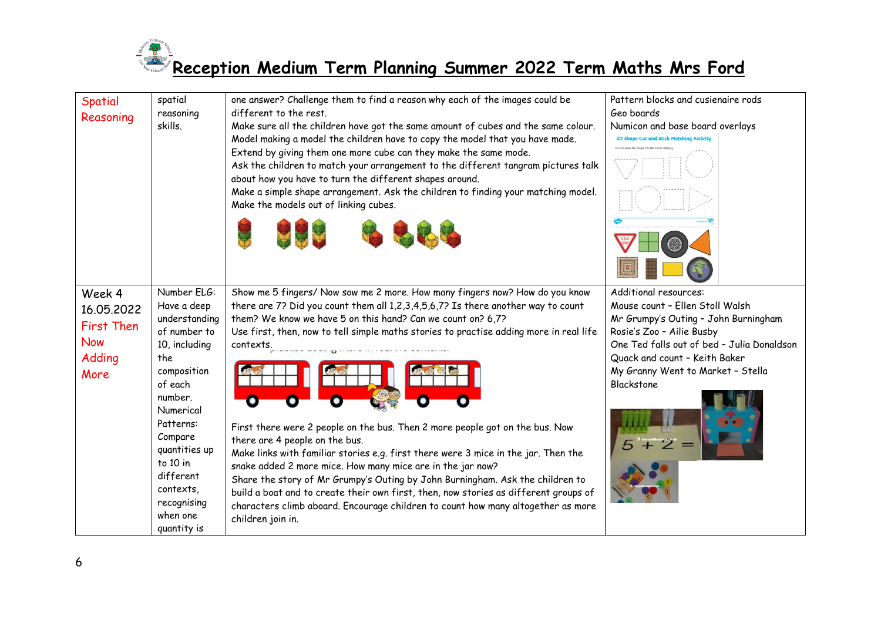

| <b>Spatial</b><br>Reasoning                                               | spatial<br>reasoning<br>skills.                                                                                                                                                                                                                                | one answer? Challenge them to find a reason why each of the images could be<br>different to the rest.<br>Make sure all the children have got the same amount of cubes and the same colour.<br>Model making a model the children have to copy the model that you have made.<br>Extend by giving them one more cube can they make the same mode.<br>Ask the children to match your arrangement to the different tangram pictures talk<br>about how you have to turn the different shapes around.<br>Make a simple shape arrangement. Ask the children to finding your matching model.<br>Make the models out of linking cubes.                                                                                                                                                                                                                                                                       | Pattern blocks and cusienaire rods<br>Geo boards<br>Numicon and base board overlays<br>2D Shape Cut and Stick Matching Activity                                                                                                                                 |
|---------------------------------------------------------------------------|----------------------------------------------------------------------------------------------------------------------------------------------------------------------------------------------------------------------------------------------------------------|----------------------------------------------------------------------------------------------------------------------------------------------------------------------------------------------------------------------------------------------------------------------------------------------------------------------------------------------------------------------------------------------------------------------------------------------------------------------------------------------------------------------------------------------------------------------------------------------------------------------------------------------------------------------------------------------------------------------------------------------------------------------------------------------------------------------------------------------------------------------------------------------------|-----------------------------------------------------------------------------------------------------------------------------------------------------------------------------------------------------------------------------------------------------------------|
| Week 4<br>16.05.2022<br><b>First Then</b><br><b>Now</b><br>Adding<br>More | Number ELG:<br>Have a deep<br>understanding<br>of number to<br>10, including<br>the<br>composition<br>of each<br>number.<br>Numerical<br>Patterns:<br>Compare<br>quantities up<br>to 10 in<br>different<br>contexts.<br>recognising<br>when one<br>quantity is | Show me 5 fingers/ Now sow me 2 more. How many fingers now? How do you know<br>there are 7? Did you count them all 1,2,3,4,5,6,7? Is there another way to count<br>them? We know we have 5 on this hand? Can we count on? 6,7?<br>Use first, then, now to tell simple maths stories to practise adding more in real life<br>contexts.<br>۰<br>First there were 2 people on the bus. Then 2 more people got on the bus. Now<br>there are 4 people on the bus.<br>Make links with familiar stories e.g. first there were 3 mice in the jar. Then the<br>snake added 2 more mice. How many mice are in the jar now?<br>Share the story of Mr Grumpy's Outing by John Burningham. Ask the children to<br>build a boat and to create their own first, then, now stories as different groups of<br>characters climb aboard. Encourage children to count how many altogether as more<br>children join in. | Additional resources:<br>Mouse count - Ellen Stoll Walsh<br>Mr Grumpy's Outing - John Burningham<br>Rosie's Zoo - Ailie Busby<br>One Ted falls out of bed - Julia Donaldson<br>Quack and count - Keith Baker<br>My Granny Went to Market - Stella<br>Blackstone |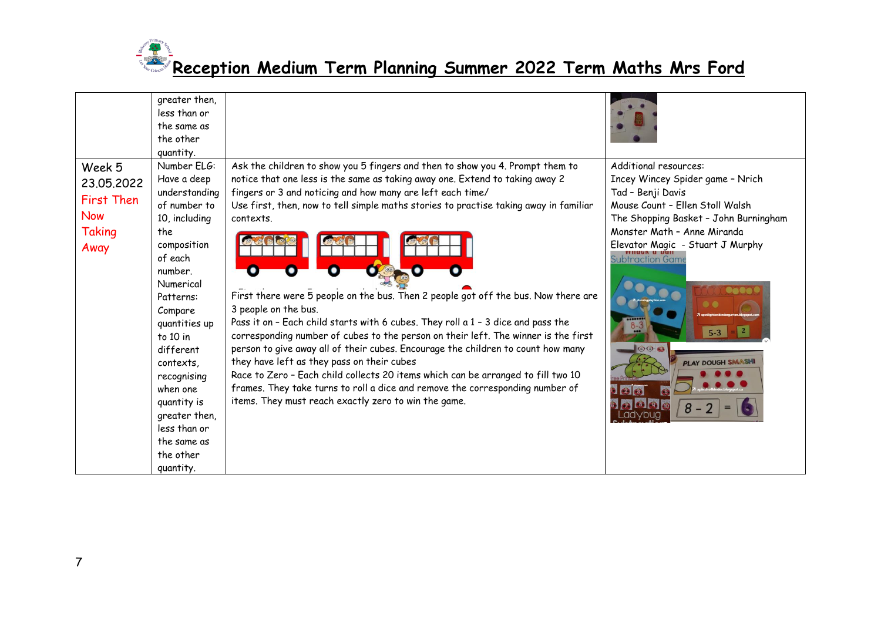

|                                                                           | greater then,<br>less than or<br>the same as<br>the other<br>quantity.                                                                                                                                                                                                                                                                   |                                                                                                                                                                                                                                                                                                                                                                                                                                                                                                                                                                                                                                                                                                                                                                                                                                                                                                                                                                                          |                                                                                                                                                                                                                                                                                                               |
|---------------------------------------------------------------------------|------------------------------------------------------------------------------------------------------------------------------------------------------------------------------------------------------------------------------------------------------------------------------------------------------------------------------------------|------------------------------------------------------------------------------------------------------------------------------------------------------------------------------------------------------------------------------------------------------------------------------------------------------------------------------------------------------------------------------------------------------------------------------------------------------------------------------------------------------------------------------------------------------------------------------------------------------------------------------------------------------------------------------------------------------------------------------------------------------------------------------------------------------------------------------------------------------------------------------------------------------------------------------------------------------------------------------------------|---------------------------------------------------------------------------------------------------------------------------------------------------------------------------------------------------------------------------------------------------------------------------------------------------------------|
| Week 5<br>23.05.2022<br><b>First Then</b><br><b>Now</b><br>Taking<br>Away | Number ELG:<br>Have a deep<br>understanding<br>of number to<br>10, including<br>the<br>composition<br>of each<br>number.<br>Numerical<br>Patterns:<br>Compare<br>quantities up<br>to 10 in<br>different<br>contexts.<br>recognising<br>when one<br>quantity is<br>greater then,<br>less than or<br>the same as<br>the other<br>quantity. | Ask the children to show you 5 fingers and then to show you 4. Prompt them to<br>notice that one less is the same as taking away one. Extend to taking away 2<br>fingers or 3 and noticing and how many are left each time/<br>Use first, then, now to tell simple maths stories to practise taking away in familiar<br>contexts.<br>First there were 5 people on the bus. Then 2 people got off the bus. Now there are<br>3 people on the bus.<br>Pass it on - Each child starts with 6 cubes. They roll a 1 - 3 dice and pass the<br>corresponding number of cubes to the person on their left. The winner is the first<br>person to give away all of their cubes. Encourage the children to count how many<br>they have left as they pass on their cubes<br>Race to Zero - Each child collects 20 items which can be arranged to fill two 10<br>frames. They take turns to roll a dice and remove the corresponding number of<br>items. They must reach exactly zero to win the game. | Additional resources:<br>Incey Wincey Spider game - Nrich<br>Tad - Benji Davis<br>Mouse Count - Ellen Stoll Walsh<br>The Shopping Basket - John Burningham<br>Monster Math - Anne Miranda<br>Elevator Magic - Stuart J Murphy<br><b>Subtraction Game</b><br>000<br><b>PLAY DOUGH SMASH</b><br>a 0 0 m<br>$8-$ |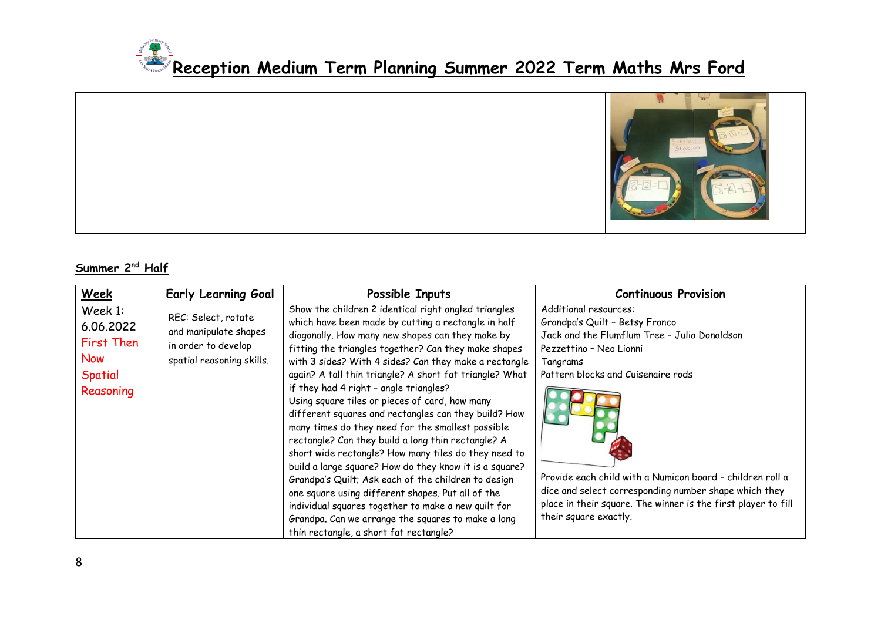

#### **Summer 2nd Half**

| Week                                                                     | <b>Early Learning Goal</b>                                                                       | Possible Inputs                                                                                                                                                                                                                                                                                                                                                                                                                                                                                                                                                                                                                                                                                                                                                                                                                                                                                                                                                                                 | <b>Continuous Provision</b>                                                                                                                                                                                                                                                                                                                                                                          |
|--------------------------------------------------------------------------|--------------------------------------------------------------------------------------------------|-------------------------------------------------------------------------------------------------------------------------------------------------------------------------------------------------------------------------------------------------------------------------------------------------------------------------------------------------------------------------------------------------------------------------------------------------------------------------------------------------------------------------------------------------------------------------------------------------------------------------------------------------------------------------------------------------------------------------------------------------------------------------------------------------------------------------------------------------------------------------------------------------------------------------------------------------------------------------------------------------|------------------------------------------------------------------------------------------------------------------------------------------------------------------------------------------------------------------------------------------------------------------------------------------------------------------------------------------------------------------------------------------------------|
| Week 1:<br>6.06.2022<br>First Then<br><b>Now</b><br>Spatial<br>Reasoning | REC: Select, rotate<br>and manipulate shapes<br>in order to develop<br>spatial reasoning skills. | Show the children 2 identical right angled triangles<br>which have been made by cutting a rectangle in half<br>diagonally. How many new shapes can they make by<br>fitting the triangles together? Can they make shapes<br>with 3 sides? With 4 sides? Can they make a rectangle<br>again? A tall thin triangle? A short fat triangle? What<br>if they had 4 right - angle triangles?<br>Using square tiles or pieces of card, how many<br>different squares and rectangles can they build? How<br>many times do they need for the smallest possible<br>rectangle? Can they build a long thin rectangle? A<br>short wide rectangle? How many tiles do they need to<br>build a large square? How do they know it is a square?<br>Grandpa's Quilt; Ask each of the children to design<br>one square using different shapes. Put all of the<br>individual squares together to make a new quilt for<br>Grandpa. Can we arrange the squares to make a long<br>thin rectangle, a short fat rectangle? | Additional resources:<br>Grandpa's Quilt - Betsy Franco<br>Jack and the Flumflum Tree - Julia Donaldson<br>Pezzettino - Neo Lionni<br>Tangrams<br>Pattern blocks and Cuisenaire rods<br>Provide each child with a Numicon board - children roll a<br>dice and select corresponding number shape which they<br>place in their square. The winner is the first player to fill<br>their square exactly. |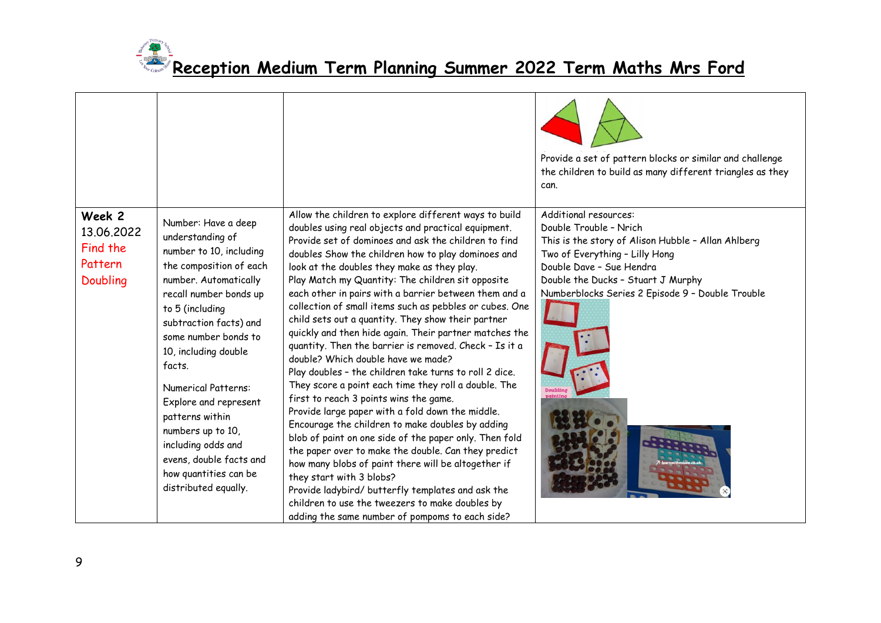

|                                                         |                                                                                                                                                                                                                                                                                                                                                                                                                                                          |                                                                                                                                                                                                                                                                                                                                                                                                                                                                                                                                                                                                                                                                                                                                                                                                                                                                                                                                                                                                                                                                                                                                                                                                                                                                                                       | Provide a set of pattern blocks or similar and challenge<br>the children to build as many different triangles as they<br>can.                                                                                                                                 |
|---------------------------------------------------------|----------------------------------------------------------------------------------------------------------------------------------------------------------------------------------------------------------------------------------------------------------------------------------------------------------------------------------------------------------------------------------------------------------------------------------------------------------|-------------------------------------------------------------------------------------------------------------------------------------------------------------------------------------------------------------------------------------------------------------------------------------------------------------------------------------------------------------------------------------------------------------------------------------------------------------------------------------------------------------------------------------------------------------------------------------------------------------------------------------------------------------------------------------------------------------------------------------------------------------------------------------------------------------------------------------------------------------------------------------------------------------------------------------------------------------------------------------------------------------------------------------------------------------------------------------------------------------------------------------------------------------------------------------------------------------------------------------------------------------------------------------------------------|---------------------------------------------------------------------------------------------------------------------------------------------------------------------------------------------------------------------------------------------------------------|
| Week 2<br>13.06.2022<br>Find the<br>Pattern<br>Doubling | Number: Have a deep<br>understanding of<br>number to 10, including<br>the composition of each<br>number. Automatically<br>recall number bonds up<br>to 5 (including<br>subtraction facts) and<br>some number bonds to<br>10, including double<br>facts.<br><b>Numerical Patterns:</b><br>Explore and represent<br>patterns within<br>numbers up to 10,<br>including odds and<br>evens, double facts and<br>how quantities can be<br>distributed equally. | Allow the children to explore different ways to build<br>doubles using real objects and practical equipment.<br>Provide set of dominoes and ask the children to find<br>doubles Show the children how to play dominoes and<br>look at the doubles they make as they play.<br>Play Match my Quantity: The children sit opposite<br>each other in pairs with a barrier between them and a<br>collection of small items such as pebbles or cubes. One<br>child sets out a quantity. They show their partner<br>quickly and then hide again. Their partner matches the<br>quantity. Then the barrier is removed. Check - Is it a<br>double? Which double have we made?<br>Play doubles - the children take turns to roll 2 dice.<br>They score a point each time they roll a double. The<br>first to reach 3 points wins the game.<br>Provide large paper with a fold down the middle.<br>Encourage the children to make doubles by adding<br>blob of paint on one side of the paper only. Then fold<br>the paper over to make the double. Can they predict<br>how many blobs of paint there will be altogether if<br>they start with 3 blobs?<br>Provide ladybird/ butterfly templates and ask the<br>children to use the tweezers to make doubles by<br>adding the same number of pompoms to each side? | Additional resources:<br>Double Trouble - Nrich<br>This is the story of Alison Hubble - Allan Ahlberg<br>Two of Everything - Lilly Hong<br>Double Dave - Sue Hendra<br>Double the Ducks - Stuart J Murphy<br>Numberblocks Series 2 Episode 9 - Double Trouble |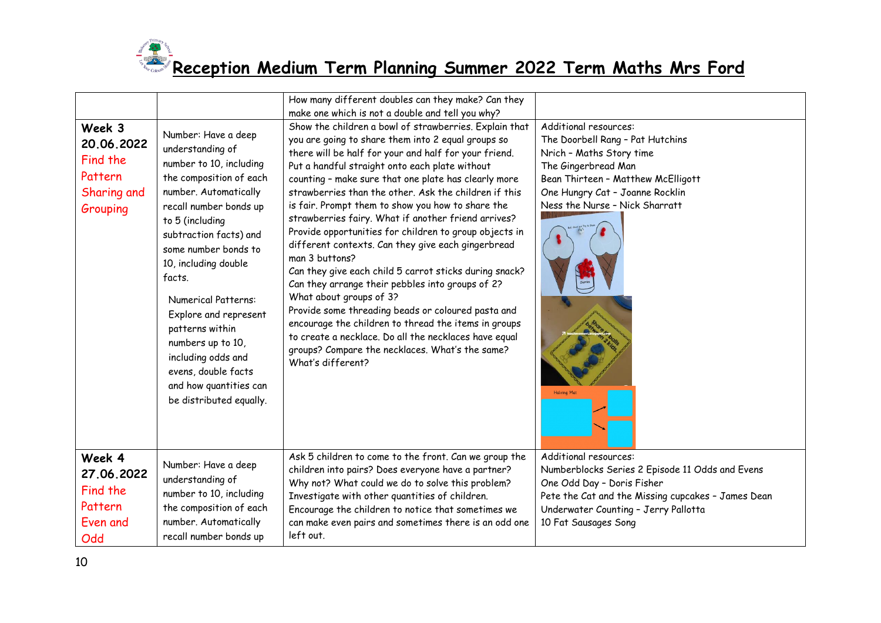

|                                                                        |                                                                                                                                                                                                                                                                                                                                                                                                                                                          | How many different doubles can they make? Can they                                                                                                                                                                                                                                                                                                                                                                                                                                                                                                                                                                                                                                                                                                                                                                                                                                                                                                                             |                                                                                                                                                                                                                                               |
|------------------------------------------------------------------------|----------------------------------------------------------------------------------------------------------------------------------------------------------------------------------------------------------------------------------------------------------------------------------------------------------------------------------------------------------------------------------------------------------------------------------------------------------|--------------------------------------------------------------------------------------------------------------------------------------------------------------------------------------------------------------------------------------------------------------------------------------------------------------------------------------------------------------------------------------------------------------------------------------------------------------------------------------------------------------------------------------------------------------------------------------------------------------------------------------------------------------------------------------------------------------------------------------------------------------------------------------------------------------------------------------------------------------------------------------------------------------------------------------------------------------------------------|-----------------------------------------------------------------------------------------------------------------------------------------------------------------------------------------------------------------------------------------------|
|                                                                        |                                                                                                                                                                                                                                                                                                                                                                                                                                                          | make one which is not a double and tell you why?                                                                                                                                                                                                                                                                                                                                                                                                                                                                                                                                                                                                                                                                                                                                                                                                                                                                                                                               |                                                                                                                                                                                                                                               |
| Week 3<br>20.06.2022<br>Find the<br>Pattern<br>Sharing and<br>Grouping | Number: Have a deep<br>understanding of<br>number to 10, including<br>the composition of each<br>number. Automatically<br>recall number bonds up<br>to 5 (including<br>subtraction facts) and<br>some number bonds to<br>10, including double<br>facts.<br><b>Numerical Patterns:</b><br>Explore and represent<br>patterns within<br>numbers up to 10,<br>including odds and<br>evens, double facts<br>and how quantities can<br>be distributed equally. | Show the children a bowl of strawberries. Explain that<br>you are going to share them into 2 equal groups so<br>there will be half for your and half for your friend.<br>Put a handful straight onto each plate without<br>counting - make sure that one plate has clearly more<br>strawberries than the other. Ask the children if this<br>is fair. Prompt them to show you how to share the<br>strawberries fairy. What if another friend arrives?<br>Provide opportunities for children to group objects in<br>different contexts. Can they give each gingerbread<br>man 3 buttons?<br>Can they give each child 5 carrot sticks during snack?<br>Can they arrange their pebbles into groups of 2?<br>What about groups of 3?<br>Provide some threading beads or coloured pasta and<br>encourage the children to thread the items in groups<br>to create a necklace. Do all the necklaces have equal<br>groups? Compare the necklaces. What's the same?<br>What's different? | Additional resources:<br>The Doorbell Rang - Pat Hutchins<br>Nrich - Maths Story time<br>The Gingerbread Man<br>Bean Thirteen - Matthew McElligott<br>One Hungry Cat - Joanne Rocklin<br>Ness the Nurse - Nick Sharratt<br><b>Halving Mat</b> |
| Week 4<br>27.06.2022<br>Find the<br>Pattern<br>Even and<br>Odd         | Number: Have a deep<br>understanding of<br>number to 10, including<br>the composition of each<br>number. Automatically<br>recall number bonds up                                                                                                                                                                                                                                                                                                         | Ask 5 children to come to the front. Can we group the<br>children into pairs? Does everyone have a partner?<br>Why not? What could we do to solve this problem?<br>Investigate with other quantities of children.<br>Encourage the children to notice that sometimes we<br>can make even pairs and sometimes there is an odd one<br>left out.                                                                                                                                                                                                                                                                                                                                                                                                                                                                                                                                                                                                                                  | Additional resources:<br>Numberblocks Series 2 Episode 11 Odds and Evens<br>One Odd Day - Doris Fisher<br>Pete the Cat and the Missing cupcakes - James Dean<br>Underwater Counting - Jerry Pallotta<br>10 Fat Sausages Song                  |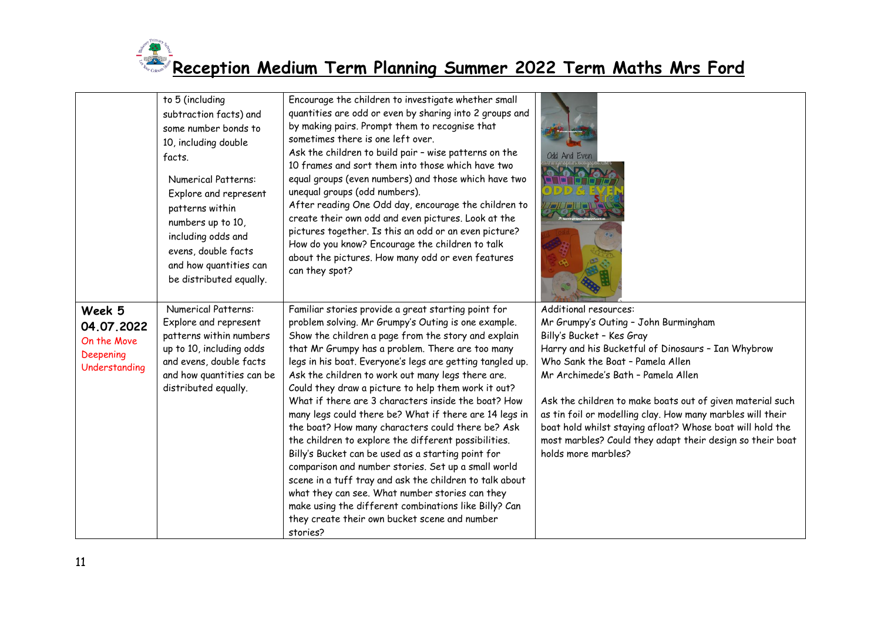

|                                                                   | to 5 (including<br>subtraction facts) and<br>some number bonds to<br>10, including double<br>facts.<br>Numerical Patterns:<br>Explore and represent<br>patterns within<br>numbers up to 10,<br>including odds and<br>evens, double facts<br>and how quantities can<br>be distributed equally. | Encourage the children to investigate whether small<br>quantities are odd or even by sharing into 2 groups and<br>by making pairs. Prompt them to recognise that<br>sometimes there is one left over.<br>Ask the children to build pair - wise patterns on the<br>10 frames and sort them into those which have two<br>equal groups (even numbers) and those which have two<br>unequal groups (odd numbers).<br>After reading One Odd day, encourage the children to<br>create their own odd and even pictures. Look at the<br>pictures together. Is this an odd or an even picture?<br>How do you know? Encourage the children to talk<br>about the pictures. How many odd or even features<br>can they spot?                                                                                                                                                                                                                                                                | Odd And Even                                                                                                                                                                                                                                                                                                                                                                                                                                                                                           |
|-------------------------------------------------------------------|-----------------------------------------------------------------------------------------------------------------------------------------------------------------------------------------------------------------------------------------------------------------------------------------------|-------------------------------------------------------------------------------------------------------------------------------------------------------------------------------------------------------------------------------------------------------------------------------------------------------------------------------------------------------------------------------------------------------------------------------------------------------------------------------------------------------------------------------------------------------------------------------------------------------------------------------------------------------------------------------------------------------------------------------------------------------------------------------------------------------------------------------------------------------------------------------------------------------------------------------------------------------------------------------|--------------------------------------------------------------------------------------------------------------------------------------------------------------------------------------------------------------------------------------------------------------------------------------------------------------------------------------------------------------------------------------------------------------------------------------------------------------------------------------------------------|
| Week 5<br>04.07.2022<br>On the Move<br>Deepening<br>Understanding | Numerical Patterns:<br>Explore and represent<br>patterns within numbers<br>up to 10, including odds<br>and evens, double facts<br>and how quantities can be<br>distributed equally.                                                                                                           | Familiar stories provide a great starting point for<br>problem solving. Mr Grumpy's Outing is one example.<br>Show the children a page from the story and explain<br>that Mr Grumpy has a problem. There are too many<br>legs in his boat. Everyone's legs are getting tangled up.<br>Ask the children to work out many legs there are.<br>Could they draw a picture to help them work it out?<br>What if there are 3 characters inside the boat? How<br>many legs could there be? What if there are 14 legs in<br>the boat? How many characters could there be? Ask<br>the children to explore the different possibilities.<br>Billy's Bucket can be used as a starting point for<br>comparison and number stories. Set up a small world<br>scene in a tuff tray and ask the children to talk about<br>what they can see. What number stories can they<br>make using the different combinations like Billy? Can<br>they create their own bucket scene and number<br>stories? | Additional resources:<br>Mr Grumpy's Outing - John Burmingham<br>Billy's Bucket - Kes Gray<br>Harry and his Bucketful of Dinosaurs - Ian Whybrow<br>Who Sank the Boat - Pamela Allen<br>Mr Archimede's Bath - Pamela Allen<br>Ask the children to make boats out of given material such<br>as tin foil or modelling clay. How many marbles will their<br>boat hold whilst staying afloat? Whose boat will hold the<br>most marbles? Could they adapt their design so their boat<br>holds more marbles? |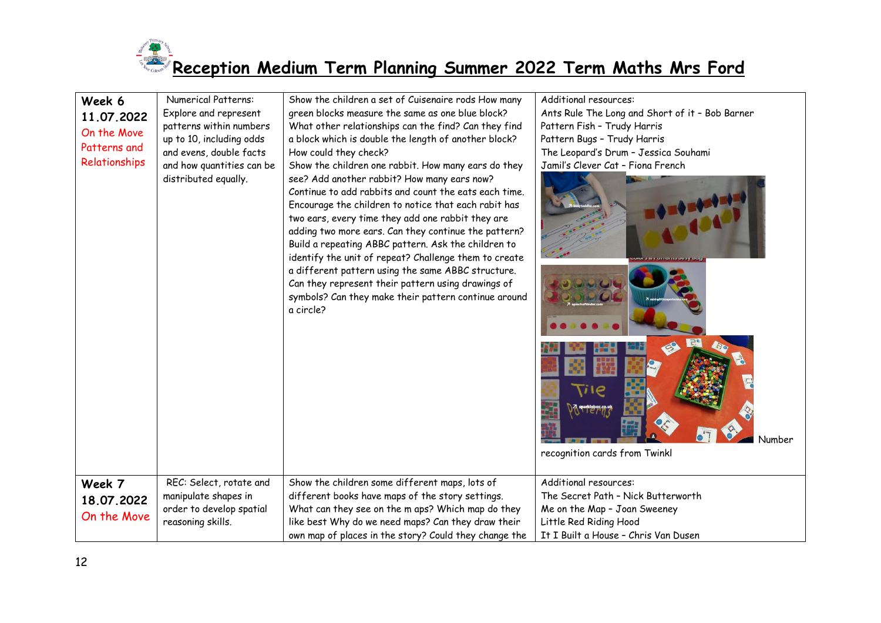

| Week 6<br>11.07.2022<br>On the Move<br>Patterns and<br>Relationships | <b>Numerical Patterns:</b><br>Explore and represent<br>patterns within numbers<br>up to 10, including odds<br>and evens, double facts<br>and how quantities can be<br>distributed equally. | Show the children a set of Cuisenaire rods How many<br>green blocks measure the same as one blue block?<br>What other relationships can the find? Can they find<br>a block which is double the length of another block?<br>How could they check?<br>Show the children one rabbit. How many ears do they<br>see? Add another rabbit? How many ears now?<br>Continue to add rabbits and count the eats each time.<br>Encourage the children to notice that each rabit has<br>two ears, every time they add one rabbit they are<br>adding two more ears. Can they continue the pattern?<br>Build a repeating ABBC pattern. Ask the children to<br>identify the unit of repeat? Challenge them to create<br>a different pattern using the same ABBC structure.<br>Can they represent their pattern using drawings of<br>symbols? Can they make their pattern continue around<br>a circle? | Additional resources:<br>Ants Rule The Long and Short of it - Bob Barner<br>Pattern Fish - Trudy Harris<br>Pattern Bugs - Trudy Harris<br>The Leopard's Drum - Jessica Souhami<br>Jamil's Clever Cat - Fiona French<br>Number<br>recognition cards from Twinkl |
|----------------------------------------------------------------------|--------------------------------------------------------------------------------------------------------------------------------------------------------------------------------------------|---------------------------------------------------------------------------------------------------------------------------------------------------------------------------------------------------------------------------------------------------------------------------------------------------------------------------------------------------------------------------------------------------------------------------------------------------------------------------------------------------------------------------------------------------------------------------------------------------------------------------------------------------------------------------------------------------------------------------------------------------------------------------------------------------------------------------------------------------------------------------------------|----------------------------------------------------------------------------------------------------------------------------------------------------------------------------------------------------------------------------------------------------------------|
| Week 7<br>18.07.2022<br>On the Move                                  | REC: Select, rotate and<br>manipulate shapes in<br>order to develop spatial<br>reasoning skills.                                                                                           | Show the children some different maps, lots of<br>different books have maps of the story settings.<br>What can they see on the m aps? Which map do they<br>like best Why do we need maps? Can they draw their<br>own map of places in the story? Could they change the                                                                                                                                                                                                                                                                                                                                                                                                                                                                                                                                                                                                                | Additional resources:<br>The Secret Path - Nick Butterworth<br>Me on the Map - Joan Sweeney<br>Little Red Riding Hood<br>It I Built a House - Chris Van Dusen                                                                                                  |